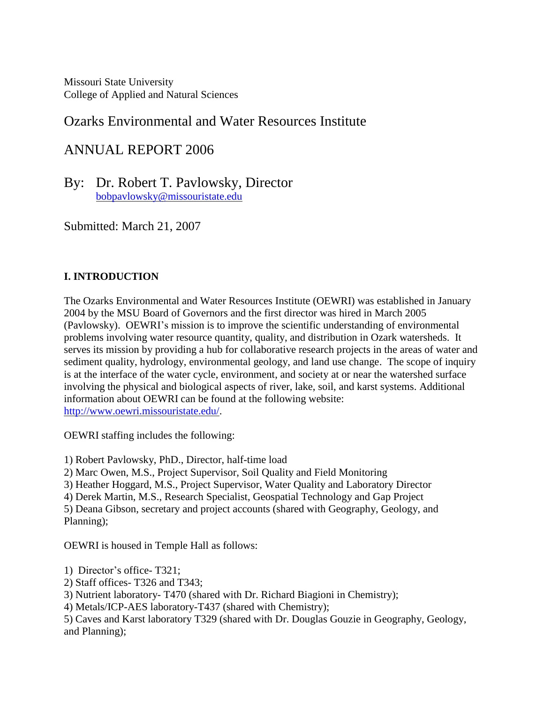Missouri State University College of Applied and Natural Sciences

# Ozarks Environmental and Water Resources Institute

# ANNUAL REPORT 2006

By: Dr. Robert T. Pavlowsky, Director [bobpavlowsky@missouristate.edu](mailto:bobpavlowsky@missouristate.edu)

Submitted: March 21, 2007

# **I. INTRODUCTION**

The Ozarks Environmental and Water Resources Institute (OEWRI) was established in January 2004 by the MSU Board of Governors and the first director was hired in March 2005 (Pavlowsky). OEWRI's mission is to improve the scientific understanding of environmental problems involving water resource quantity, quality, and distribution in Ozark watersheds. It serves its mission by providing a hub for collaborative research projects in the areas of water and sediment quality, hydrology, environmental geology, and land use change. The scope of inquiry is at the interface of the water cycle, environment, and society at or near the watershed surface involving the physical and biological aspects of river, lake, soil, and karst systems. Additional information about OEWRI can be found at the following website: [http://www.oewri.missouristate.edu/.](http://www.oewri.missouristate.edu/)

OEWRI staffing includes the following:

1) Robert Pavlowsky, PhD., Director, half-time load

2) Marc Owen, M.S., Project Supervisor, Soil Quality and Field Monitoring

3) Heather Hoggard, M.S., Project Supervisor, Water Quality and Laboratory Director

4) Derek Martin, M.S., Research Specialist, Geospatial Technology and Gap Project

5) Deana Gibson, secretary and project accounts (shared with Geography, Geology, and Planning);

OEWRI is housed in Temple Hall as follows:

1) Director's office- T321;

2) Staff offices- T326 and T343;

3) Nutrient laboratory- T470 (shared with Dr. Richard Biagioni in Chemistry);

4) Metals/ICP-AES laboratory-T437 (shared with Chemistry);

5) Caves and Karst laboratory T329 (shared with Dr. Douglas Gouzie in Geography, Geology, and Planning);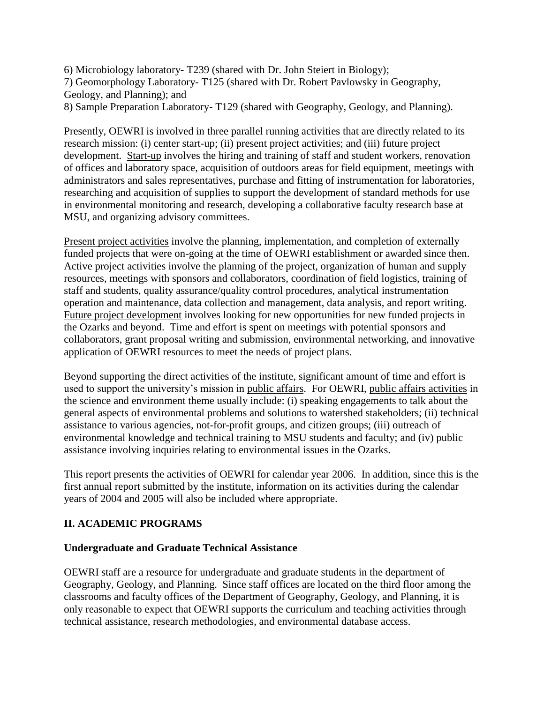6) Microbiology laboratory- T239 (shared with Dr. John Steiert in Biology); 7) Geomorphology Laboratory- T125 (shared with Dr. Robert Pavlowsky in Geography, Geology, and Planning); and 8) Sample Preparation Laboratory- T129 (shared with Geography, Geology, and Planning).

Presently, OEWRI is involved in three parallel running activities that are directly related to its research mission: (i) center start-up; (ii) present project activities; and (iii) future project development. Start-up involves the hiring and training of staff and student workers, renovation of offices and laboratory space, acquisition of outdoors areas for field equipment, meetings with administrators and sales representatives, purchase and fitting of instrumentation for laboratories, researching and acquisition of supplies to support the development of standard methods for use in environmental monitoring and research, developing a collaborative faculty research base at MSU, and organizing advisory committees.

Present project activities involve the planning, implementation, and completion of externally funded projects that were on-going at the time of OEWRI establishment or awarded since then. Active project activities involve the planning of the project, organization of human and supply resources, meetings with sponsors and collaborators, coordination of field logistics, training of staff and students, quality assurance/quality control procedures, analytical instrumentation operation and maintenance, data collection and management, data analysis, and report writing. Future project development involves looking for new opportunities for new funded projects in the Ozarks and beyond. Time and effort is spent on meetings with potential sponsors and collaborators, grant proposal writing and submission, environmental networking, and innovative application of OEWRI resources to meet the needs of project plans.

Beyond supporting the direct activities of the institute, significant amount of time and effort is used to support the university's mission in public affairs. For OEWRI, public affairs activities in the science and environment theme usually include: (i) speaking engagements to talk about the general aspects of environmental problems and solutions to watershed stakeholders; (ii) technical assistance to various agencies, not-for-profit groups, and citizen groups; (iii) outreach of environmental knowledge and technical training to MSU students and faculty; and (iv) public assistance involving inquiries relating to environmental issues in the Ozarks.

This report presents the activities of OEWRI for calendar year 2006. In addition, since this is the first annual report submitted by the institute, information on its activities during the calendar years of 2004 and 2005 will also be included where appropriate.

# **II. ACADEMIC PROGRAMS**

# **Undergraduate and Graduate Technical Assistance**

OEWRI staff are a resource for undergraduate and graduate students in the department of Geography, Geology, and Planning. Since staff offices are located on the third floor among the classrooms and faculty offices of the Department of Geography, Geology, and Planning, it is only reasonable to expect that OEWRI supports the curriculum and teaching activities through technical assistance, research methodologies, and environmental database access.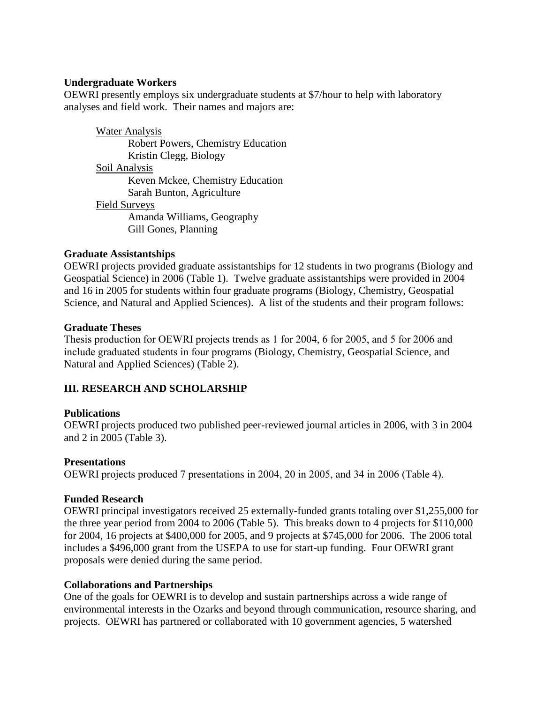### **Undergraduate Workers**

OEWRI presently employs six undergraduate students at \$7/hour to help with laboratory analyses and field work. Their names and majors are:

Water Analysis Robert Powers, Chemistry Education Kristin Clegg, Biology Soil Analysis Keven Mckee, Chemistry Education Sarah Bunton, Agriculture Field Surveys Amanda Williams, Geography Gill Gones, Planning

### **Graduate Assistantships**

OEWRI projects provided graduate assistantships for 12 students in two programs (Biology and Geospatial Science) in 2006 (Table 1). Twelve graduate assistantships were provided in 2004 and 16 in 2005 for students within four graduate programs (Biology, Chemistry, Geospatial Science, and Natural and Applied Sciences). A list of the students and their program follows:

### **Graduate Theses**

Thesis production for OEWRI projects trends as 1 for 2004, 6 for 2005, and 5 for 2006 and include graduated students in four programs (Biology, Chemistry, Geospatial Science, and Natural and Applied Sciences) (Table 2).

# **III. RESEARCH AND SCHOLARSHIP**

# **Publications**

OEWRI projects produced two published peer-reviewed journal articles in 2006, with 3 in 2004 and 2 in 2005 (Table 3).

### **Presentations**

OEWRI projects produced 7 presentations in 2004, 20 in 2005, and 34 in 2006 (Table 4).

### **Funded Research**

OEWRI principal investigators received 25 externally-funded grants totaling over \$1,255,000 for the three year period from 2004 to 2006 (Table 5). This breaks down to 4 projects for \$110,000 for 2004, 16 projects at \$400,000 for 2005, and 9 projects at \$745,000 for 2006. The 2006 total includes a \$496,000 grant from the USEPA to use for start-up funding. Four OEWRI grant proposals were denied during the same period.

### **Collaborations and Partnerships**

One of the goals for OEWRI is to develop and sustain partnerships across a wide range of environmental interests in the Ozarks and beyond through communication, resource sharing, and projects. OEWRI has partnered or collaborated with 10 government agencies, 5 watershed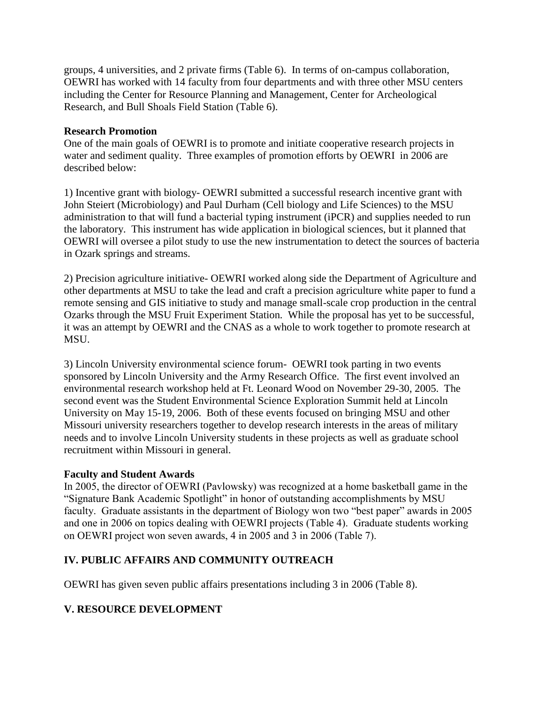groups, 4 universities, and 2 private firms (Table 6). In terms of on-campus collaboration, OEWRI has worked with 14 faculty from four departments and with three other MSU centers including the Center for Resource Planning and Management, Center for Archeological Research, and Bull Shoals Field Station (Table 6).

### **Research Promotion**

One of the main goals of OEWRI is to promote and initiate cooperative research projects in water and sediment quality. Three examples of promotion efforts by OEWRI in 2006 are described below:

1) Incentive grant with biology- OEWRI submitted a successful research incentive grant with John Steiert (Microbiology) and Paul Durham (Cell biology and Life Sciences) to the MSU administration to that will fund a bacterial typing instrument (iPCR) and supplies needed to run the laboratory. This instrument has wide application in biological sciences, but it planned that OEWRI will oversee a pilot study to use the new instrumentation to detect the sources of bacteria in Ozark springs and streams.

2) Precision agriculture initiative- OEWRI worked along side the Department of Agriculture and other departments at MSU to take the lead and craft a precision agriculture white paper to fund a remote sensing and GIS initiative to study and manage small-scale crop production in the central Ozarks through the MSU Fruit Experiment Station. While the proposal has yet to be successful, it was an attempt by OEWRI and the CNAS as a whole to work together to promote research at MSU.

3) Lincoln University environmental science forum- OEWRI took parting in two events sponsored by Lincoln University and the Army Research Office. The first event involved an environmental research workshop held at Ft. Leonard Wood on November 29-30, 2005. The second event was the Student Environmental Science Exploration Summit held at Lincoln University on May 15-19, 2006. Both of these events focused on bringing MSU and other Missouri university researchers together to develop research interests in the areas of military needs and to involve Lincoln University students in these projects as well as graduate school recruitment within Missouri in general.

# **Faculty and Student Awards**

In 2005, the director of OEWRI (Pavlowsky) was recognized at a home basketball game in the "Signature Bank Academic Spotlight" in honor of outstanding accomplishments by MSU faculty. Graduate assistants in the department of Biology won two "best paper" awards in 2005 and one in 2006 on topics dealing with OEWRI projects (Table 4). Graduate students working on OEWRI project won seven awards, 4 in 2005 and 3 in 2006 (Table 7).

# **IV. PUBLIC AFFAIRS AND COMMUNITY OUTREACH**

OEWRI has given seven public affairs presentations including 3 in 2006 (Table 8).

# **V. RESOURCE DEVELOPMENT**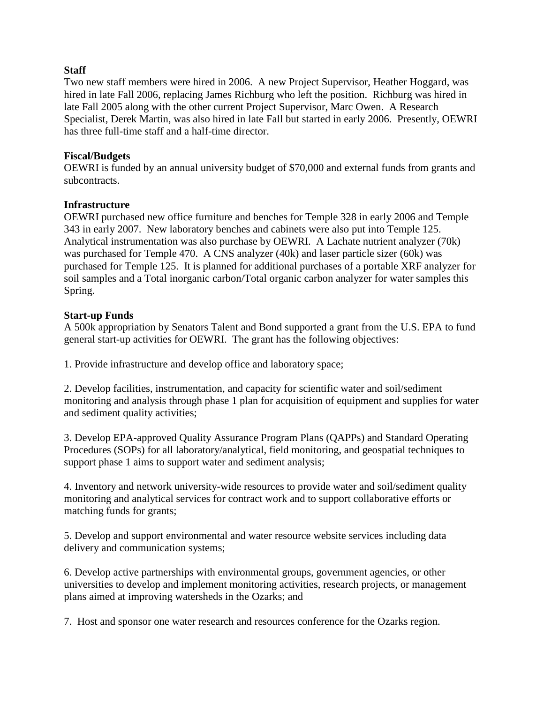### **Staff**

Two new staff members were hired in 2006. A new Project Supervisor, Heather Hoggard, was hired in late Fall 2006, replacing James Richburg who left the position. Richburg was hired in late Fall 2005 along with the other current Project Supervisor, Marc Owen. A Research Specialist, Derek Martin, was also hired in late Fall but started in early 2006. Presently, OEWRI has three full-time staff and a half-time director.

### **Fiscal/Budgets**

OEWRI is funded by an annual university budget of \$70,000 and external funds from grants and subcontracts.

### **Infrastructure**

OEWRI purchased new office furniture and benches for Temple 328 in early 2006 and Temple 343 in early 2007. New laboratory benches and cabinets were also put into Temple 125. Analytical instrumentation was also purchase by OEWRI. A Lachate nutrient analyzer (70k) was purchased for Temple 470. A CNS analyzer (40k) and laser particle sizer (60k) was purchased for Temple 125. It is planned for additional purchases of a portable XRF analyzer for soil samples and a Total inorganic carbon/Total organic carbon analyzer for water samples this Spring.

### **Start-up Funds**

A 500k appropriation by Senators Talent and Bond supported a grant from the U.S. EPA to fund general start-up activities for OEWRI. The grant has the following objectives:

1. Provide infrastructure and develop office and laboratory space;

2. Develop facilities, instrumentation, and capacity for scientific water and soil/sediment monitoring and analysis through phase 1 plan for acquisition of equipment and supplies for water and sediment quality activities;

3. Develop EPA-approved Quality Assurance Program Plans (QAPPs) and Standard Operating Procedures (SOPs) for all laboratory/analytical, field monitoring, and geospatial techniques to support phase 1 aims to support water and sediment analysis;

4. Inventory and network university-wide resources to provide water and soil/sediment quality monitoring and analytical services for contract work and to support collaborative efforts or matching funds for grants;

5. Develop and support environmental and water resource website services including data delivery and communication systems;

6. Develop active partnerships with environmental groups, government agencies, or other universities to develop and implement monitoring activities, research projects, or management plans aimed at improving watersheds in the Ozarks; and

7. Host and sponsor one water research and resources conference for the Ozarks region.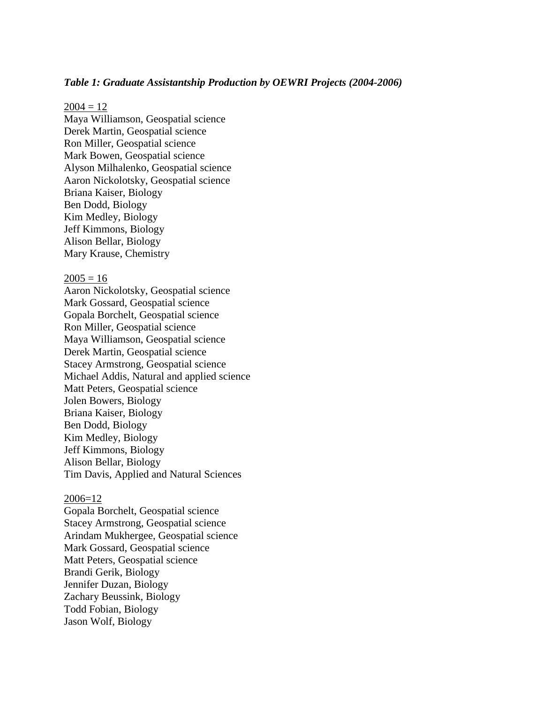#### *Table 1: Graduate Assistantship Production by OEWRI Projects (2004-2006)*

#### $2004 = 12$

Maya Williamson, Geospatial science Derek Martin, Geospatial science Ron Miller, Geospatial science Mark Bowen, Geospatial science Alyson Milhalenko, Geospatial science Aaron Nickolotsky, Geospatial science Briana Kaiser, Biology Ben Dodd, Biology Kim Medley, Biology Jeff Kimmons, Biology Alison Bellar, Biology Mary Krause, Chemistry

#### $2005 = 16$

Aaron Nickolotsky, Geospatial science Mark Gossard, Geospatial science Gopala Borchelt, Geospatial science Ron Miller, Geospatial science Maya Williamson, Geospatial science Derek Martin, Geospatial science Stacey Armstrong, Geospatial science Michael Addis, Natural and applied science Matt Peters, Geospatial science Jolen Bowers, Biology Briana Kaiser, Biology Ben Dodd, Biology Kim Medley, Biology Jeff Kimmons, Biology Alison Bellar, Biology Tim Davis, Applied and Natural Sciences

#### 2006=12

Gopala Borchelt, Geospatial science Stacey Armstrong, Geospatial science Arindam Mukhergee, Geospatial science Mark Gossard, Geospatial science Matt Peters, Geospatial science Brandi Gerik, Biology Jennifer Duzan, Biology Zachary Beussink, Biology Todd Fobian, Biology Jason Wolf, Biology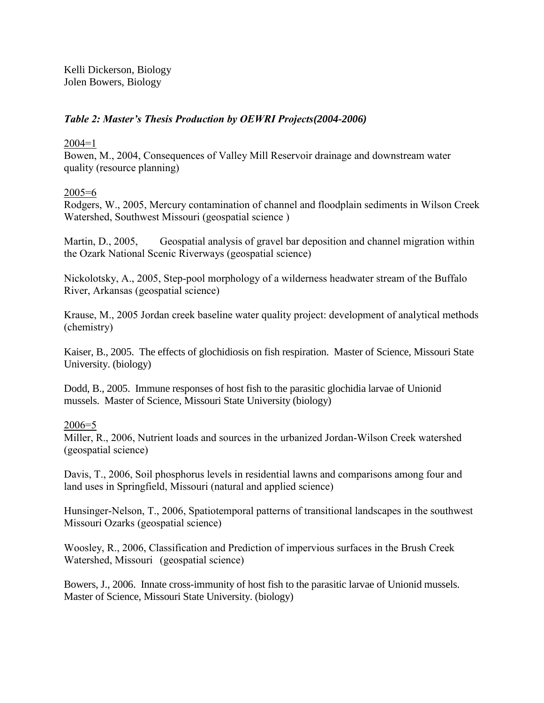Kelli Dickerson, Biology Jolen Bowers, Biology

# *Table 2: Master's Thesis Production by OEWRI Projects(2004-2006)*

### $2004=1$

Bowen, M., 2004, Consequences of Valley Mill Reservoir drainage and downstream water quality (resource planning)

# 2005=6

Rodgers, W., 2005, Mercury contamination of channel and floodplain sediments in Wilson Creek Watershed, Southwest Missouri (geospatial science )

Martin, D., 2005, Geospatial analysis of gravel bar deposition and channel migration within the Ozark National Scenic Riverways (geospatial science)

Nickolotsky, A., 2005, Step-pool morphology of a wilderness headwater stream of the Buffalo River, Arkansas (geospatial science)

Krause, M., 2005 Jordan creek baseline water quality project: development of analytical methods (chemistry)

Kaiser, B., 2005. The effects of glochidiosis on fish respiration. Master of Science, Missouri State University. (biology)

Dodd, B., 2005. Immune responses of host fish to the parasitic glochidia larvae of Unionid mussels. Master of Science, Missouri State University (biology)

# 2006=5

Miller, R., 2006, Nutrient loads and sources in the urbanized Jordan-Wilson Creek watershed (geospatial science)

Davis, T., 2006, Soil phosphorus levels in residential lawns and comparisons among four and land uses in Springfield, Missouri (natural and applied science)

Hunsinger-Nelson, T., 2006, Spatiotemporal patterns of transitional landscapes in the southwest Missouri Ozarks (geospatial science)

Woosley, R., 2006, Classification and Prediction of impervious surfaces in the Brush Creek Watershed, Missouri (geospatial science)

Bowers, J., 2006. Innate cross-immunity of host fish to the parasitic larvae of Unionid mussels. Master of Science, Missouri State University. (biology)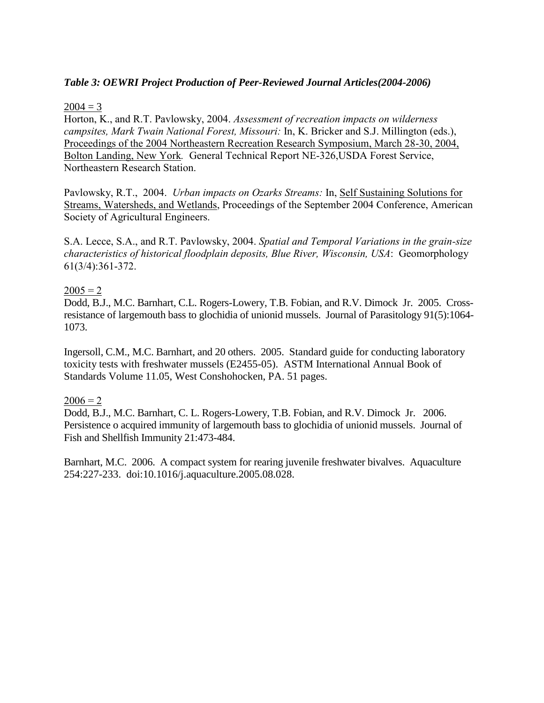# *Table 3: OEWRI Project Production of Peer-Reviewed Journal Articles(2004-2006)*

### $2004 = 3$

Horton, K., and R.T. Pavlowsky, 2004. *Assessment of recreation impacts on wilderness campsites, Mark Twain National Forest, Missouri:* In, K. Bricker and S.J. Millington (eds.), Proceedings of the 2004 Northeastern Recreation Research Symposium, March 28-30, 2004, Bolton Landing, New York*.* General Technical Report NE-326,USDA Forest Service, Northeastern Research Station.

Pavlowsky, R.T., 2004. *Urban impacts on Ozarks Streams:* In, Self Sustaining Solutions for Streams, Watersheds, and Wetlands, Proceedings of the September 2004 Conference, American Society of Agricultural Engineers.

S.A. Lecce, S.A., and R.T. Pavlowsky, 2004. *Spatial and Temporal Variations in the grain-size characteristics of historical floodplain deposits, Blue River, Wisconsin, USA*: Geomorphology 61(3/4):361-372.

### $2005 = 2$

Dodd, B.J., M.C. Barnhart, C.L. Rogers-Lowery, T.B. Fobian, and R.V. Dimock Jr. 2005. Crossresistance of largemouth bass to glochidia of unionid mussels. Journal of Parasitology 91(5):1064- 1073.

Ingersoll, C.M., M.C. Barnhart, and 20 others. 2005. Standard guide for conducting laboratory toxicity tests with freshwater mussels (E2455-05). ASTM International Annual Book of Standards Volume 11.05, West Conshohocken, PA. 51 pages.

### $2006 = 2$

Dodd, B.J., M.C. Barnhart, C. L. Rogers-Lowery, T.B. Fobian, and R.V. Dimock Jr. 2006. Persistence o acquired immunity of largemouth bass to glochidia of unionid mussels. Journal of Fish and Shellfish Immunity 21:473-484.

Barnhart, M.C. 2006. A compact system for rearing juvenile freshwater bivalves. Aquaculture 254:227-233. doi:10.1016/j.aquaculture.2005.08.028.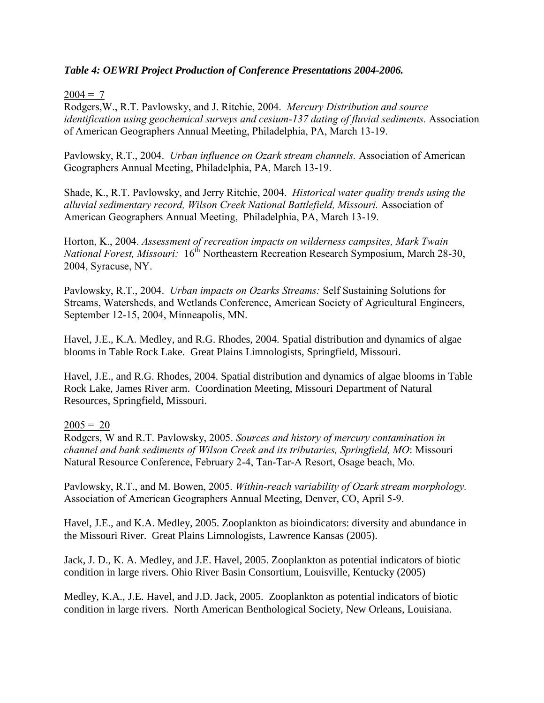### *Table 4: OEWRI Project Production of Conference Presentations 2004-2006.*

### $2004 = 7$

Rodgers,W., R.T. Pavlowsky, and J. Ritchie, 2004. *Mercury Distribution and source identification using geochemical surveys and cesium-137 dating of fluvial sediments.* Association of American Geographers Annual Meeting, Philadelphia, PA, March 13-19.

Pavlowsky, R.T., 2004. *Urban influence on Ozark stream channels.* Association of American Geographers Annual Meeting, Philadelphia, PA, March 13-19.

Shade, K., R.T. Pavlowsky, and Jerry Ritchie, 2004. *Historical water quality trends using the alluvial sedimentary record, Wilson Creek National Battlefield, Missouri.* Association of American Geographers Annual Meeting, Philadelphia, PA, March 13-19.

Horton, K., 2004. *Assessment of recreation impacts on wilderness campsites, Mark Twain National Forest, Missouri:* 16<sup>th</sup> Northeastern Recreation Research Symposium, March 28-30, 2004, Syracuse, NY.

Pavlowsky, R.T., 2004. *Urban impacts on Ozarks Streams:* Self Sustaining Solutions for Streams, Watersheds, and Wetlands Conference, American Society of Agricultural Engineers, September 12-15, 2004, Minneapolis, MN.

Havel, J.E., K.A. Medley, and R.G. Rhodes, 2004. Spatial distribution and dynamics of algae blooms in Table Rock Lake. Great Plains Limnologists, Springfield, Missouri.

Havel, J.E., and R.G. Rhodes, 2004. Spatial distribution and dynamics of algae blooms in Table Rock Lake, James River arm. Coordination Meeting, Missouri Department of Natural Resources, Springfield, Missouri.

# $2005 = 20$

Rodgers, W and R.T. Pavlowsky, 2005. *Sources and history of mercury contamination in channel and bank sediments of Wilson Creek and its tributaries, Springfield, MO*: Missouri Natural Resource Conference, February 2-4, Tan-Tar-A Resort, Osage beach, Mo.

Pavlowsky, R.T., and M. Bowen, 2005. *Within-reach variability of Ozark stream morphology.* Association of American Geographers Annual Meeting, Denver, CO, April 5-9.

Havel, J.E., and K.A. Medley, 2005. Zooplankton as bioindicators: diversity and abundance in the Missouri River. Great Plains Limnologists, Lawrence Kansas (2005).

Jack, J. D., K. A. Medley, and J.E. Havel, 2005. Zooplankton as potential indicators of biotic condition in large rivers. Ohio River Basin Consortium, Louisville, Kentucky (2005)

Medley, K.A., J.E. Havel, and J.D. Jack, 2005. Zooplankton as potential indicators of biotic condition in large rivers. North American Benthological Society, New Orleans, Louisiana.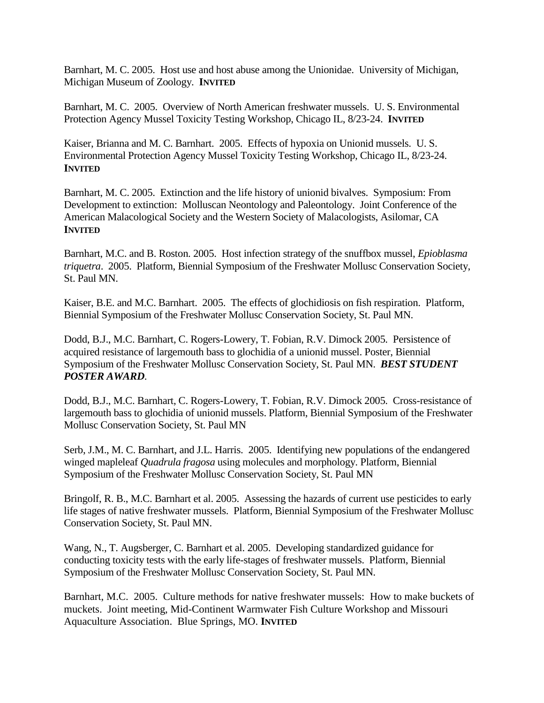Barnhart, M. C. 2005. Host use and host abuse among the Unionidae. University of Michigan, Michigan Museum of Zoology. **INVITED**

Barnhart, M. C. 2005. Overview of North American freshwater mussels. U. S. Environmental Protection Agency Mussel Toxicity Testing Workshop, Chicago IL, 8/23-24. **INVITED**

Kaiser, Brianna and M. C. Barnhart. 2005. Effects of hypoxia on Unionid mussels. U. S. Environmental Protection Agency Mussel Toxicity Testing Workshop, Chicago IL, 8/23-24. **INVITED**

Barnhart, M. C. 2005. Extinction and the life history of unionid bivalves. Symposium: From Development to extinction: Molluscan Neontology and Paleontology. Joint Conference of the American Malacological Society and the Western Society of Malacologists, Asilomar, CA **INVITED**

Barnhart, M.C. and B. Roston. 2005. Host infection strategy of the snuffbox mussel, *Epioblasma triquetra*. 2005. Platform, Biennial Symposium of the Freshwater Mollusc Conservation Society, St. Paul MN.

Kaiser, B.E. and M.C. Barnhart. 2005. The effects of glochidiosis on fish respiration. Platform, Biennial Symposium of the Freshwater Mollusc Conservation Society, St. Paul MN.

Dodd, B.J., M.C. Barnhart, C. Rogers-Lowery, T. Fobian, R.V. Dimock 2005. Persistence of acquired resistance of largemouth bass to glochidia of a unionid mussel. Poster, Biennial Symposium of the Freshwater Mollusc Conservation Society, St. Paul MN. *BEST STUDENT POSTER AWARD*.

Dodd, B.J., M.C. Barnhart, C. Rogers-Lowery, T. Fobian, R.V. Dimock 2005. Cross-resistance of largemouth bass to glochidia of unionid mussels. Platform, Biennial Symposium of the Freshwater Mollusc Conservation Society, St. Paul MN

Serb, J.M., M. C. Barnhart, and J.L. Harris. 2005. Identifying new populations of the endangered winged mapleleaf *Quadrula fragosa* using molecules and morphology. Platform, Biennial Symposium of the Freshwater Mollusc Conservation Society, St. Paul MN

Bringolf, R. B., M.C. Barnhart et al. 2005. Assessing the hazards of current use pesticides to early life stages of native freshwater mussels. Platform, Biennial Symposium of the Freshwater Mollusc Conservation Society, St. Paul MN.

Wang, N., T. Augsberger, C. Barnhart et al. 2005. Developing standardized guidance for conducting toxicity tests with the early life-stages of freshwater mussels. Platform, Biennial Symposium of the Freshwater Mollusc Conservation Society, St. Paul MN.

Barnhart, M.C. 2005. Culture methods for native freshwater mussels: How to make buckets of muckets. Joint meeting, Mid-Continent Warmwater Fish Culture Workshop and Missouri Aquaculture Association. Blue Springs, MO. **INVITED**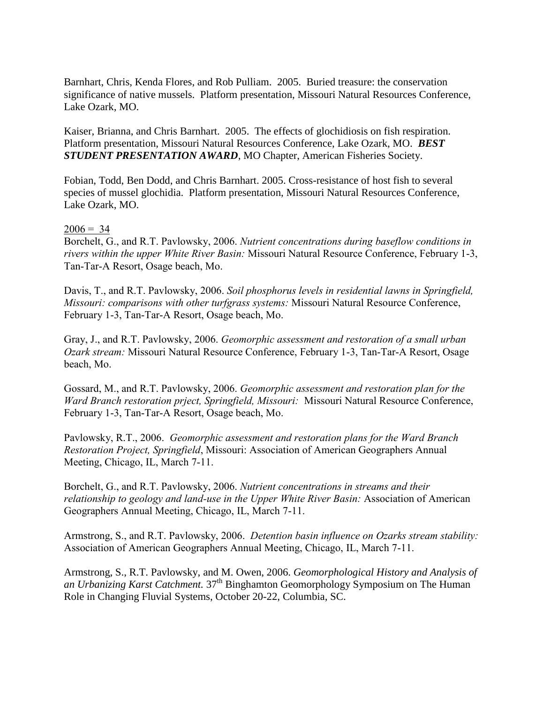Barnhart, Chris, Kenda Flores, and Rob Pulliam. 2005. Buried treasure: the conservation significance of native mussels. Platform presentation, Missouri Natural Resources Conference, Lake Ozark, MO.

Kaiser, Brianna, and Chris Barnhart. 2005. The effects of glochidiosis on fish respiration. Platform presentation, Missouri Natural Resources Conference, Lake Ozark, MO. *BEST STUDENT PRESENTATION AWARD*, MO Chapter, American Fisheries Society.

Fobian, Todd, Ben Dodd, and Chris Barnhart. 2005. Cross-resistance of host fish to several species of mussel glochidia. Platform presentation, Missouri Natural Resources Conference, Lake Ozark, MO.

### $2006 = 34$

Borchelt, G., and R.T. Pavlowsky, 2006. *Nutrient concentrations during baseflow conditions in rivers within the upper White River Basin:* Missouri Natural Resource Conference, February 1-3, Tan-Tar-A Resort, Osage beach, Mo.

Davis, T., and R.T. Pavlowsky, 2006. *Soil phosphorus levels in residential lawns in Springfield, Missouri: comparisons with other turfgrass systems:* Missouri Natural Resource Conference, February 1-3, Tan-Tar-A Resort, Osage beach, Mo.

Gray, J., and R.T. Pavlowsky, 2006. *Geomorphic assessment and restoration of a small urban Ozark stream:* Missouri Natural Resource Conference, February 1-3, Tan-Tar-A Resort, Osage beach, Mo.

Gossard, M., and R.T. Pavlowsky, 2006. *Geomorphic assessment and restoration plan for the Ward Branch restoration prject, Springfield, Missouri:* Missouri Natural Resource Conference, February 1-3, Tan-Tar-A Resort, Osage beach, Mo.

Pavlowsky, R.T., 2006. *Geomorphic assessment and restoration plans for the Ward Branch Restoration Project, Springfield*, Missouri: Association of American Geographers Annual Meeting, Chicago, IL, March 7-11.

Borchelt, G., and R.T. Pavlowsky, 2006. *Nutrient concentrations in streams and their relationship to geology and land-use in the Upper White River Basin:* Association of American Geographers Annual Meeting, Chicago, IL, March 7-11.

Armstrong, S., and R.T. Pavlowsky, 2006. *Detention basin influence on Ozarks stream stability:* Association of American Geographers Annual Meeting, Chicago, IL, March 7-11.

Armstrong, S., R.T. Pavlowsky, and M. Owen, 2006. *Geomorphological History and Analysis of an Urbanizing Karst Catchment.* 37<sup>th</sup> Binghamton Geomorphology Symposium on The Human Role in Changing Fluvial Systems, October 20-22, Columbia, SC.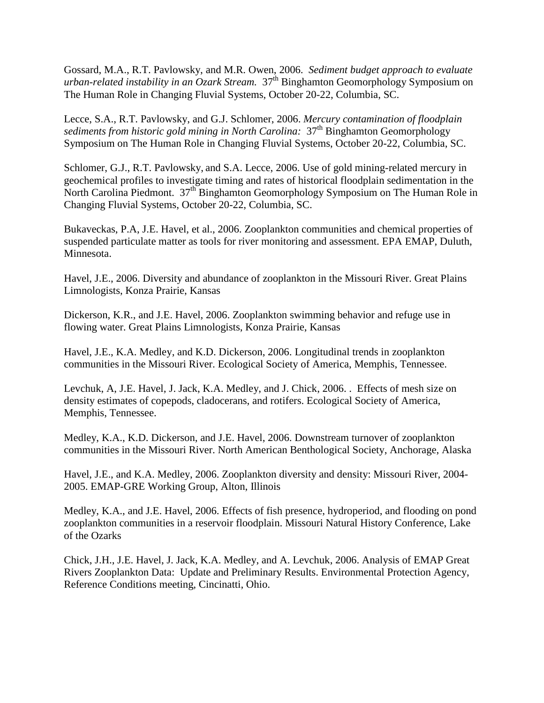Gossard, M.A., R.T. Pavlowsky, and M.R. Owen, 2006. *Sediment budget approach to evaluate urban-related instability in an Ozark Stream.* 37<sup>th</sup> Binghamton Geomorphology Symposium on The Human Role in Changing Fluvial Systems, October 20-22, Columbia, SC.

Lecce, S.A., R.T. Pavlowsky, and G.J. Schlomer, 2006. *Mercury contamination of floodplain sediments from historic gold mining in North Carolina:*  $37<sup>th</sup>$  Binghamton Geomorphology Symposium on The Human Role in Changing Fluvial Systems, October 20-22, Columbia, SC.

Schlomer, G.J., R.T. Pavlowsky, and S.A. Lecce, 2006. Use of gold mining-related mercury in geochemical profiles to investigate timing and rates of historical floodplain sedimentation in the North Carolina Piedmont.  $37<sup>th</sup>$  Binghamton Geomorphology Symposium on The Human Role in Changing Fluvial Systems, October 20-22, Columbia, SC.

Bukaveckas, P.A, J.E. Havel, et al., 2006. Zooplankton communities and chemical properties of suspended particulate matter as tools for river monitoring and assessment. EPA EMAP, Duluth, Minnesota.

Havel, J.E., 2006. Diversity and abundance of zooplankton in the Missouri River. Great Plains Limnologists, Konza Prairie, Kansas

Dickerson, K.R., and J.E. Havel, 2006. Zooplankton swimming behavior and refuge use in flowing water. Great Plains Limnologists, Konza Prairie, Kansas

Havel, J.E., K.A. Medley, and K.D. Dickerson, 2006. Longitudinal trends in zooplankton communities in the Missouri River. Ecological Society of America, Memphis, Tennessee.

Levchuk, A, J.E. Havel, J. Jack, K.A. Medley, and J. Chick, 2006. . Effects of mesh size on density estimates of copepods, cladocerans, and rotifers. Ecological Society of America, Memphis, Tennessee.

Medley, K.A., K.D. Dickerson, and J.E. Havel, 2006. Downstream turnover of zooplankton communities in the Missouri River. North American Benthological Society, Anchorage, Alaska

Havel, J.E., and K.A. Medley, 2006. Zooplankton diversity and density: Missouri River, 2004- 2005. EMAP-GRE Working Group, Alton, Illinois

Medley, K.A., and J.E. Havel, 2006. Effects of fish presence, hydroperiod, and flooding on pond zooplankton communities in a reservoir floodplain. Missouri Natural History Conference, Lake of the Ozarks

Chick, J.H., J.E. Havel, J. Jack, K.A. Medley, and A. Levchuk, 2006. Analysis of EMAP Great Rivers Zooplankton Data: Update and Preliminary Results. Environmental Protection Agency, Reference Conditions meeting, Cincinatti, Ohio.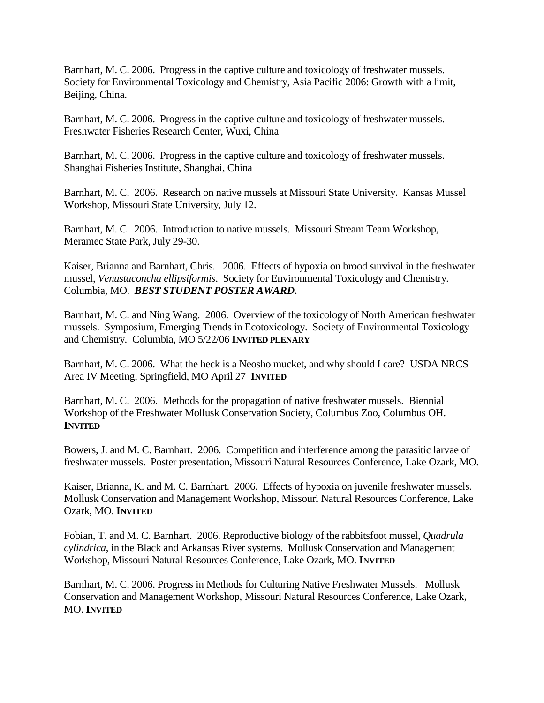Barnhart, M. C. 2006. Progress in the captive culture and toxicology of freshwater mussels. Society for Environmental Toxicology and Chemistry, Asia Pacific 2006: Growth with a limit, Beijing, China.

Barnhart, M. C. 2006. Progress in the captive culture and toxicology of freshwater mussels. Freshwater Fisheries Research Center, Wuxi, China

Barnhart, M. C. 2006. Progress in the captive culture and toxicology of freshwater mussels. Shanghai Fisheries Institute, Shanghai, China

Barnhart, M. C. 2006. Research on native mussels at Missouri State University. Kansas Mussel Workshop, Missouri State University, July 12.

Barnhart, M. C. 2006. Introduction to native mussels. Missouri Stream Team Workshop, Meramec State Park, July 29-30.

Kaiser, Brianna and Barnhart, Chris. 2006. Effects of hypoxia on brood survival in the freshwater mussel, *Venustaconcha ellipsiformis*. Society for Environmental Toxicology and Chemistry. Columbia, MO. *BEST STUDENT POSTER AWARD*.

Barnhart, M. C. and Ning Wang. 2006. Overview of the toxicology of North American freshwater mussels. Symposium, Emerging Trends in Ecotoxicology. Society of Environmental Toxicology and Chemistry. Columbia, MO 5/22/06 **INVITED PLENARY**

Barnhart, M. C. 2006. What the heck is a Neosho mucket, and why should I care? USDA NRCS Area IV Meeting, Springfield, MO April 27 **INVITED**

Barnhart, M. C. 2006. Methods for the propagation of native freshwater mussels. Biennial Workshop of the Freshwater Mollusk Conservation Society, Columbus Zoo, Columbus OH. **INVITED**

Bowers, J. and M. C. Barnhart. 2006. Competition and interference among the parasitic larvae of freshwater mussels. Poster presentation, Missouri Natural Resources Conference, Lake Ozark, MO.

Kaiser, Brianna, K. and M. C. Barnhart. 2006. Effects of hypoxia on juvenile freshwater mussels. Mollusk Conservation and Management Workshop, Missouri Natural Resources Conference, Lake Ozark, MO. **INVITED**

Fobian, T. and M. C. Barnhart. 2006. Reproductive biology of the rabbitsfoot mussel, *Quadrula cylindrica*, in the Black and Arkansas River systems. Mollusk Conservation and Management Workshop, Missouri Natural Resources Conference, Lake Ozark, MO. **INVITED**

Barnhart, M. C. 2006. Progress in Methods for Culturing Native Freshwater Mussels. Mollusk Conservation and Management Workshop, Missouri Natural Resources Conference, Lake Ozark, MO. **INVITED**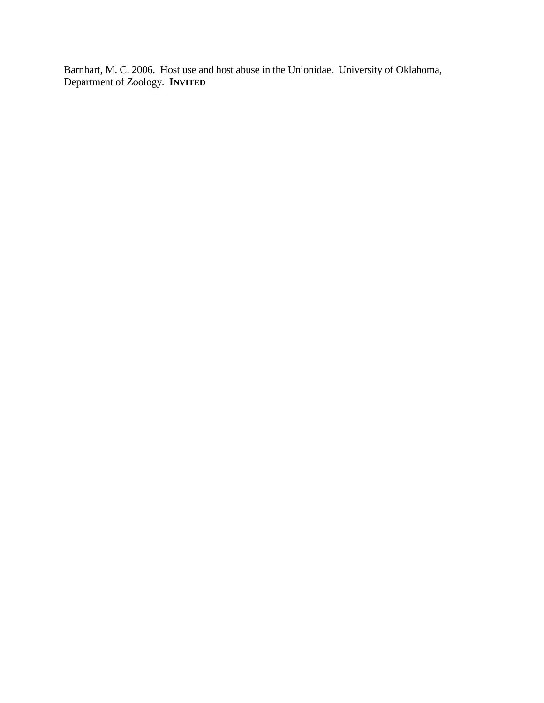Barnhart, M. C. 2006. Host use and host abuse in the Unionidae. University of Oklahoma, Department of Zoology. **INVITED**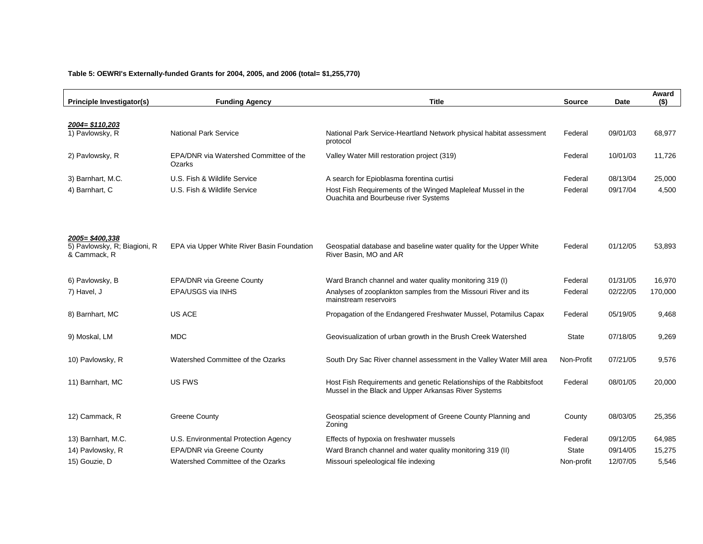#### **Table 5: OEWRI's Externally-funded Grants for 2004, 2005, and 2006 (total= \$1,255,770)**

| <b>Principle Investigator(s)</b>                               | <b>Funding Agency</b>                            | <b>Title</b>                                                                                                                | <b>Source</b> | Date     | Award<br>$($ \$) |
|----------------------------------------------------------------|--------------------------------------------------|-----------------------------------------------------------------------------------------------------------------------------|---------------|----------|------------------|
|                                                                |                                                  |                                                                                                                             |               |          |                  |
| 2004= \$110,203<br>1) Pavlowsky, R                             | <b>National Park Service</b>                     | National Park Service-Heartland Network physical habitat assessment<br>protocol                                             | Federal       | 09/01/03 | 68,977           |
| 2) Pavlowsky, R                                                | EPA/DNR via Watershed Committee of the<br>Ozarks | Valley Water Mill restoration project (319)                                                                                 | Federal       | 10/01/03 | 11,726           |
| 3) Barnhart, M.C.                                              | U.S. Fish & Wildlife Service                     | A search for Epioblasma forentina curtisi                                                                                   | Federal       | 08/13/04 | 25,000           |
| 4) Barnhart, C                                                 | U.S. Fish & Wildlife Service                     | Host Fish Requirements of the Winged Mapleleaf Mussel in the<br><b>Ouachita and Bourbeuse river Systems</b>                 | Federal       | 09/17/04 | 4,500            |
|                                                                |                                                  |                                                                                                                             |               |          |                  |
| 2005=\$400,338<br>5) Pavlowsky, R; Biagioni, R<br>& Cammack, R | EPA via Upper White River Basin Foundation       | Geospatial database and baseline water quality for the Upper White<br>River Basin, MO and AR                                | Federal       | 01/12/05 | 53,893           |
| 6) Pavlowsky, B                                                | EPA/DNR via Greene County                        | Ward Branch channel and water quality monitoring 319 (I)                                                                    | Federal       | 01/31/05 | 16,970           |
| 7) Havel, J                                                    | EPA/USGS via INHS                                | Analyses of zooplankton samples from the Missouri River and its<br>mainstream reservoirs                                    | Federal       | 02/22/05 | 170,000          |
| 8) Barnhart, MC                                                | <b>US ACE</b>                                    | Propagation of the Endangered Freshwater Mussel, Potamilus Capax                                                            | Federal       | 05/19/05 | 9,468            |
| 9) Moskal, LM                                                  | <b>MDC</b>                                       | Geovisualization of urban growth in the Brush Creek Watershed                                                               | <b>State</b>  | 07/18/05 | 9,269            |
| 10) Pavlowsky, R                                               | Watershed Committee of the Ozarks                | South Dry Sac River channel assessment in the Valley Water Mill area                                                        | Non-Profit    | 07/21/05 | 9,576            |
| 11) Barnhart, MC                                               | US FWS                                           | Host Fish Requirements and genetic Relationships of the Rabbitsfoot<br>Mussel in the Black and Upper Arkansas River Systems | Federal       | 08/01/05 | 20,000           |
| 12) Cammack, R                                                 | <b>Greene County</b>                             | Geospatial science development of Greene County Planning and<br>Zoning                                                      | County        | 08/03/05 | 25,356           |
| 13) Barnhart, M.C.                                             | U.S. Environmental Protection Agency             | Effects of hypoxia on freshwater mussels                                                                                    | Federal       | 09/12/05 | 64,985           |
| 14) Pavlowsky, R                                               | EPA/DNR via Greene County                        | Ward Branch channel and water quality monitoring 319 (II)                                                                   | <b>State</b>  | 09/14/05 | 15,275           |
| 15) Gouzie, D                                                  | Watershed Committee of the Ozarks                | Missouri speleological file indexing                                                                                        | Non-profit    | 12/07/05 | 5,546            |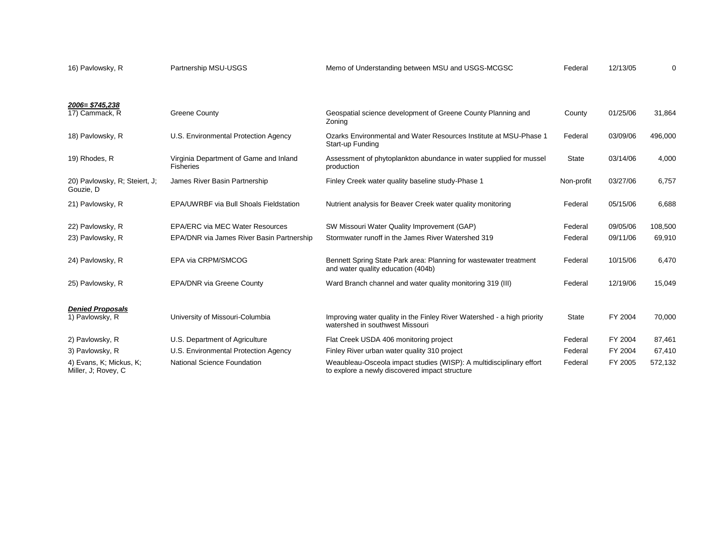| 16) Pavlowsky, R                               | Partnership MSU-USGS                                       | Memo of Understanding between MSU and USGS-MCGSC                                                                      | Federal      | 12/13/05 | 0       |
|------------------------------------------------|------------------------------------------------------------|-----------------------------------------------------------------------------------------------------------------------|--------------|----------|---------|
|                                                |                                                            |                                                                                                                       |              |          |         |
| 2006= \$745,238<br>17) Cammack, R              | <b>Greene County</b>                                       | Geospatial science development of Greene County Planning and<br>Zoning                                                | County       | 01/25/06 | 31,864  |
| 18) Pavlowsky, R                               | U.S. Environmental Protection Agency                       | Ozarks Environmental and Water Resources Institute at MSU-Phase 1<br>Start-up Funding                                 | Federal      | 03/09/06 | 496,000 |
| 19) Rhodes, R                                  | Virginia Department of Game and Inland<br><b>Fisheries</b> | Assessment of phytoplankton abundance in water supplied for mussel<br>production                                      | <b>State</b> | 03/14/06 | 4,000   |
| 20) Pavlowsky, R; Steiert, J;<br>Gouzie, D     | James River Basin Partnership                              | Finley Creek water quality baseline study-Phase 1                                                                     | Non-profit   | 03/27/06 | 6,757   |
| 21) Pavlowsky, R                               | EPA/UWRBF via Bull Shoals Fieldstation                     | Nutrient analysis for Beaver Creek water quality monitoring                                                           | Federal      | 05/15/06 | 6,688   |
| 22) Pavlowsky, R                               | <b>EPA/ERC via MEC Water Resources</b>                     | SW Missouri Water Quality Improvement (GAP)                                                                           | Federal      | 09/05/06 | 108,500 |
| 23) Pavlowsky, R                               | EPA/DNR via James River Basin Partnership                  | Stormwater runoff in the James River Watershed 319                                                                    | Federal      | 09/11/06 | 69,910  |
| 24) Pavlowsky, R                               | EPA via CRPM/SMCOG                                         | Bennett Spring State Park area: Planning for wastewater treatment<br>and water quality education (404b)               | Federal      | 10/15/06 | 6,470   |
| 25) Pavlowsky, R                               | <b>EPA/DNR via Greene County</b>                           | Ward Branch channel and water quality monitoring 319 (III)                                                            | Federal      | 12/19/06 | 15,049  |
| <b>Denied Proposals</b>                        |                                                            |                                                                                                                       |              |          |         |
| 1) Pavlowsky, R                                | University of Missouri-Columbia                            | Improving water quality in the Finley River Watershed - a high priority<br>watershed in southwest Missouri            | State        | FY 2004  | 70,000  |
| 2) Pavlowsky, R                                | U.S. Department of Agriculture                             | Flat Creek USDA 406 monitoring project                                                                                | Federal      | FY 2004  | 87,461  |
| 3) Pavlowsky, R                                | U.S. Environmental Protection Agency                       | Finley River urban water quality 310 project                                                                          | Federal      | FY 2004  | 67,410  |
| 4) Evans, K; Mickus, K;<br>Miller, J; Rovey, C | <b>National Science Foundation</b>                         | Weaubleau-Osceola impact studies (WISP): A multidisciplinary effort<br>to explore a newly discovered impact structure | Federal      | FY 2005  | 572,132 |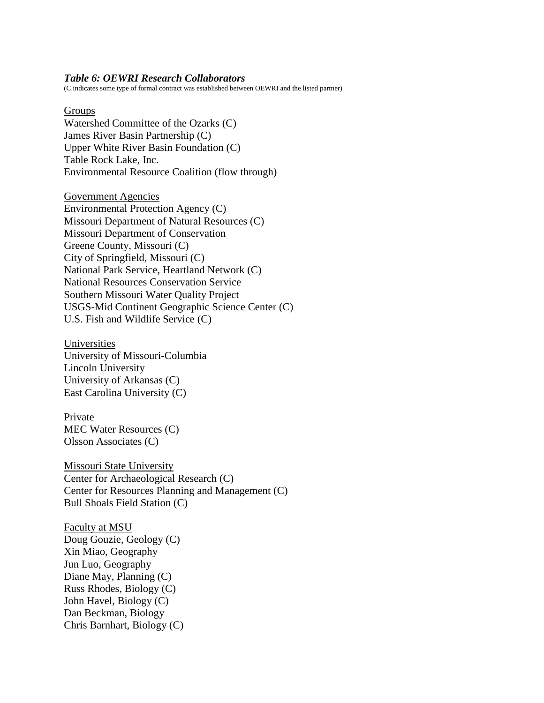#### *Table 6: OEWRI Research Collaborators*

(C indicates some type of formal contract was established between OEWRI and the listed partner)

Groups Watershed Committee of the Ozarks (C) James River Basin Partnership (C) Upper White River Basin Foundation (C) Table Rock Lake, Inc. Environmental Resource Coalition (flow through)

Government Agencies Environmental Protection Agency (C) Missouri Department of Natural Resources (C) Missouri Department of Conservation Greene County, Missouri (C) City of Springfield, Missouri (C) National Park Service, Heartland Network (C) National Resources Conservation Service Southern Missouri Water Quality Project USGS-Mid Continent Geographic Science Center (C) U.S. Fish and Wildlife Service (C)

Universities University of Missouri-Columbia Lincoln University University of Arkansas (C) East Carolina University (C)

Private MEC Water Resources (C) Olsson Associates (C)

Missouri State University Center for Archaeological Research (C) Center for Resources Planning and Management (C) Bull Shoals Field Station (C)

Faculty at MSU Doug Gouzie, Geology (C) Xin Miao, Geography Jun Luo, Geography Diane May, Planning (C) Russ Rhodes, Biology (C) John Havel, Biology (C) Dan Beckman, Biology Chris Barnhart, Biology (C)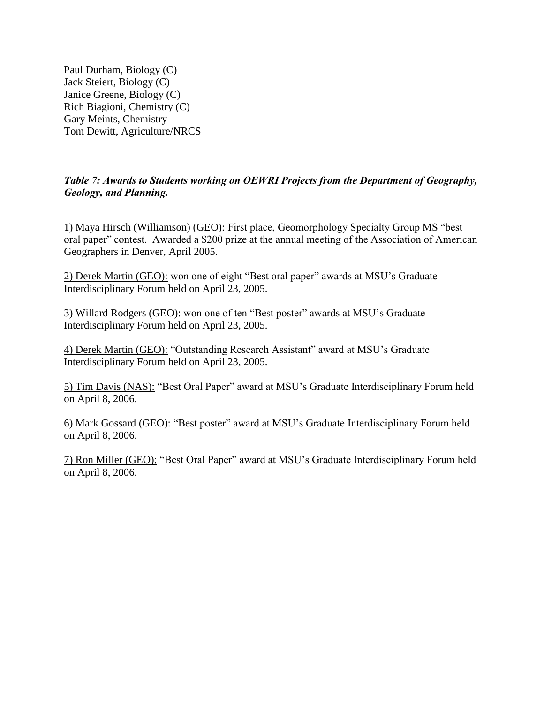Paul Durham, Biology (C) Jack Steiert, Biology (C) Janice Greene, Biology (C) Rich Biagioni, Chemistry (C) Gary Meints, Chemistry Tom Dewitt, Agriculture/NRCS

# *Table 7: Awards to Students working on OEWRI Projects from the Department of Geography, Geology, and Planning.*

1) Maya Hirsch (Williamson) (GEO): First place, Geomorphology Specialty Group MS "best oral paper" contest. Awarded a \$200 prize at the annual meeting of the Association of American Geographers in Denver, April 2005.

2) Derek Martin (GEO): won one of eight "Best oral paper" awards at MSU's Graduate Interdisciplinary Forum held on April 23, 2005.

3) Willard Rodgers (GEO): won one of ten "Best poster" awards at MSU's Graduate Interdisciplinary Forum held on April 23, 2005.

4) Derek Martin (GEO): "Outstanding Research Assistant" award at MSU's Graduate Interdisciplinary Forum held on April 23, 2005.

5) Tim Davis (NAS): "Best Oral Paper" award at MSU's Graduate Interdisciplinary Forum held on April 8, 2006.

6) Mark Gossard (GEO): "Best poster" award at MSU's Graduate Interdisciplinary Forum held on April 8, 2006.

7) Ron Miller (GEO): "Best Oral Paper" award at MSU's Graduate Interdisciplinary Forum held on April 8, 2006.